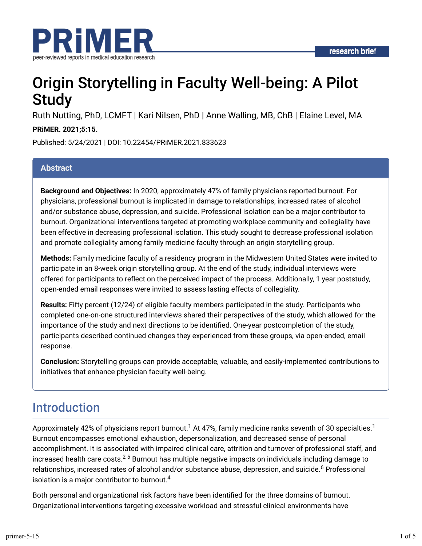

# Origin Storytelling in Faculty Well-being: A Pilot **Study**

Ruth Nutting, PhD, LCMFT | Kari Nilsen, PhD | Anne Walling, MB, ChB | Elaine Level, MA

### **PRiMER. 2021;5:15.**

Published: 5/24/2021 | DOI: 10.22454/PRiMER.2021.833623

### **Abstract**

**Background and Objectives:** In 2020, approximately 47% of family physicians reported burnout. For physicians, professional burnout is implicated in damage to relationships, increased rates of alcohol and/or substance abuse, depression, and suicide. Professional isolation can be a major contributor to burnout. Organizational interventions targeted at promoting workplace community and collegiality have been effective in decreasing professional isolation. This study sought to decrease professional isolation and promote collegiality among family medicine faculty through an origin storytelling group.

**Methods:** Family medicine faculty of a residency program in the Midwestern United States were invited to participate in an 8-week origin storytelling group. At the end of the study, individual interviews were offered for participants to reflect on the perceived impact of the process. Additionally, 1 year poststudy, open-ended email responses were invited to assess lasting effects of collegiality.

**Results:** Fifty percent (12/24) of eligible faculty members participated in the study. Participants who completed one-on-one structured interviews shared their perspectives of the study, which allowed for the importance of the study and next directions to be identified. One-year postcompletion of the study, participants described continued changes they experienced from these groups, via open-ended, email response.

**Conclusion:** Storytelling groups can provide acceptable, valuable, and easily-implemented contributions to initiatives that enhance physician faculty well-being.

## Introduction

Approximately 42% of physicians report burnout. $^1$  At 47%, family medicine ranks seventh of 30 specialties. $^1$ Burnout encompasses emotional exhaustion, depersonalization, and decreased sense of personal accomplishment. It is associated with impaired clinical care, attrition and turnover of professional staff, and increased health care costs. $^{2\text{-}5}$  Burnout has multiple negative impacts on individuals including damage to relationships, increased rates of alcohol and/or substance abuse, depression, and suicide.<sup>6</sup> Professional isolation is a major contributor to burnout. $^4$ 

Both personal and organizational risk factors have been identified for the three domains of burnout. Organizational interventions targeting excessive workload and stressful clinical environments have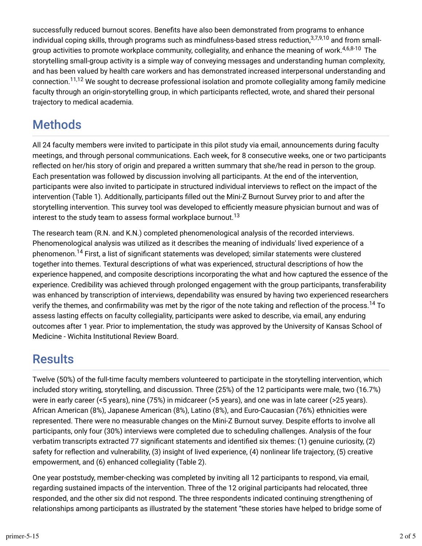successfully reduced burnout scores. Benefits have also been demonstrated from programs to enhance individual coping skills, through programs such as mindfulness-based stress reduction,<sup>3,7,9,10</sup> and from smallgroup activities to promote workplace community, collegiality, and enhance the meaning of work.<sup>4,6,8-10</sup> The storytelling small-group activity is a simple way of conveying messages and understanding human complexity, and has been valued by health care workers and has demonstrated increased interpersonal understanding and connection.<sup>11,12</sup> We sought to decrease professional isolation and promote collegiality among family medicine faculty through an origin-storytelling group, in which participants reflected, wrote, and shared their personal trajectory to medical academia.

## Methods

All 24 faculty members were invited to participate in this pilot study via email, announcements during faculty meetings, and through personal communications. Each week, for 8 consecutive weeks, one or two participants reflected on her/his story of origin and prepared a written summary that she/he read in person to the group. Each presentation was followed by discussion involving all participants. At the end of the intervention, participants were also invited to participate in structured individual interviews to reflect on the impact of the intervention (Table 1). Additionally, participants filled out the Mini-Z Burnout Survey prior to and after the storytelling intervention. This survey tool was developed to efficiently measure physician burnout and was of interest to the study team to assess formal workplace burnout. $^{13}$ 

The research team (R.N. and K.N.) completed phenomenological analysis of the recorded interviews. Phenomenological analysis was utilized as it describes the meaning of individuals' lived experience of a phenomenon.<sup>14</sup> First, a list of significant statements was developed; similar statements were clustered together into themes. Textural descriptions of what was experienced, structural descriptions of how the experience happened, and composite descriptions incorporating the what and how captured the essence of the experience. Credibility was achieved through prolonged engagement with the group participants, transferability was enhanced by transcription of interviews, dependability was ensured by having two experienced researchers verify the themes, and confirmability was met by the rigor of the note taking and reflection of the process. $^\mathrm{14}$  To assess lasting effects on faculty collegiality, participants were asked to describe, via email, any enduring outcomes after 1 year. Prior to implementation, the study was approved by the University of Kansas School of Medicine - Wichita Institutional Review Board.

## **Results**

Twelve (50%) of the full-time faculty members volunteered to participate in the storytelling intervention, which included story writing, storytelling, and discussion. Three (25%) of the 12 participants were male, two (16.7%) were in early career (<5 years), nine (75%) in midcareer (>5 years), and one was in late career (>25 years). African American (8%), Japanese American (8%), Latino (8%), and Euro-Caucasian (76%) ethnicities were represented. There were no measurable changes on the Mini-Z Burnout survey. Despite efforts to involve all participants, only four (30%) interviews were completed due to scheduling challenges. Analysis of the four verbatim transcripts extracted 77 significant statements and identified six themes: (1) genuine curiosity, (2) safety for reflection and vulnerability,  $(3)$  insight of lived experience,  $(4)$  nonlinear life trajectory,  $(5)$  creative empowerment, and (6) enhanced collegiality (Table 2).

One year poststudy, member-checking was completed by inviting all 12 participants to respond, via email, regarding sustained impacts of the intervention. Three of the 12 original participants had relocated, three responded, and the other six did not respond. The three respondents indicated continuing strengthening of relationships among participants as illustrated by the statement "these stories have helped to bridge some of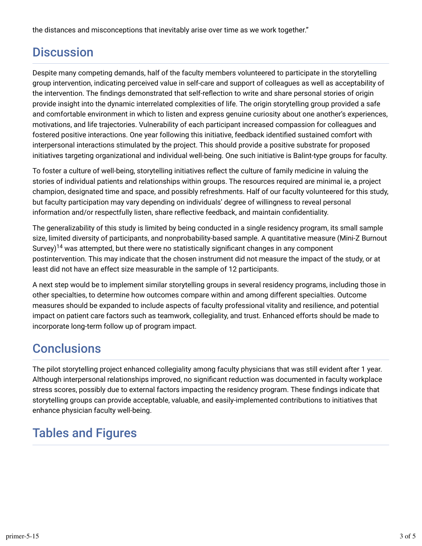the distances and misconceptions that inevitably arise over time as we work together."

## **Discussion**

Despite many competing demands, half of the faculty members volunteered to participate in the storytelling group intervention, indicating perceived value in self-care and support of colleagues as well as acceptability of the intervention. The findings demonstrated that self-reflection to write and share personal stories of origin provide insight into the dynamic interrelated complexities of life. The origin storytelling group provided a safe and comfortable environment in which to listen and express genuine curiosity about one another's experiences, motivations, and life trajectories. Vulnerability of each participant increased compassion for colleagues and fostered positive interactions. One year following this initiative, feedback identified sustained comfort with interpersonal interactions stimulated by the project. This should provide a positive substrate for proposed initiatives targeting organizational and individual well-being. One such initiative is Balint-type groups for faculty.

To foster a culture of well-being, storytelling initiatives reflect the culture of family medicine in valuing the stories of individual patients and relationships within groups. The resources required are minimal ie, a project champion, designated time and space, and possibly refreshments. Half of our faculty volunteered for this study, but faculty participation may vary depending on individuals' degree of willingness to reveal personal information and/or respectfully listen, share reflective feedback, and maintain confidentiality.

The generalizability of this study is limited by being conducted in a single residency program, its small sample size, limited diversity of participants, and nonprobability-based sample. A quantitative measure (Mini-Z Burnout Survey) $^{14}$  was attempted, but there were no statistically significant changes in any component postintervention. This may indicate that the chosen instrument did not measure the impact of the study, or at least did not have an effect size measurable in the sample of 12 participants.

A next step would be to implement similar storytelling groups in several residency programs, including those in other specialties, to determine how outcomes compare within and among different specialties. Outcome measures should be expanded to include aspects of faculty professional vitality and resilience, and potential impact on patient care factors such as teamwork, collegiality, and trust. Enhanced efforts should be made to incorporate long-term follow up of program impact.

## **Conclusions**

The pilot storytelling project enhanced collegiality among faculty physicians that was still evident after 1 year. Although interpersonal relationships improved, no significant reduction was documented in faculty workplace stress scores, possibly due to external factors impacting the residency program. These findings indicate that storytelling groups can provide acceptable, valuable, and easily-implemented contributions to initiatives that enhance physician faculty well-being.

# Tables and Figures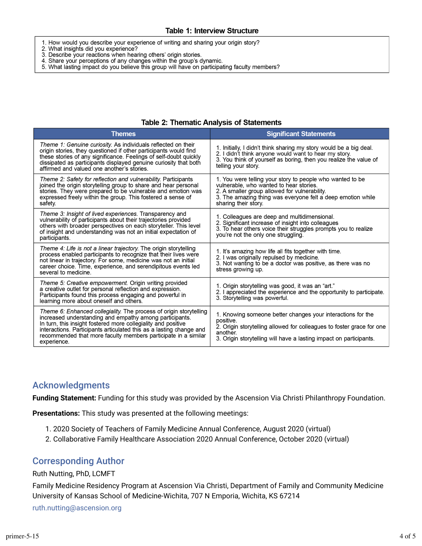- 1. How would you describe your experience of writing and sharing your origin story?
- 
- 2. What insights did you experience?<br>3. Describe your reactions when hearing others' origin stories.
- 4. Share your perceptions of any changes within the group's dynamic.
- 5. What lasting impact do you believe this group will have on participating faculty members?

| <b>Themes</b>                                                                                                                                                                                                                                                                                                                                          | <b>Significant Statements</b>                                                                                                                                                                                                                |
|--------------------------------------------------------------------------------------------------------------------------------------------------------------------------------------------------------------------------------------------------------------------------------------------------------------------------------------------------------|----------------------------------------------------------------------------------------------------------------------------------------------------------------------------------------------------------------------------------------------|
| Theme 1: Genuine curiosity. As individuals reflected on their<br>origin stories, they questioned if other participants would find<br>these stories of any significance. Feelings of self-doubt quickly<br>dissipated as participants displayed genuine curiosity that both<br>affirmed and valued one another's stories.                               | 1. Initially, I didn't think sharing my story would be a big deal.<br>2. I didn't think anyone would want to hear my story.<br>3. You think of yourself as boring, then you realize the value of<br>telling your story.                      |
| Theme 2: Safety for reflection and vulnerability. Participants<br>joined the origin storytelling group to share and hear personal<br>stories. They were prepared to be vulnerable and emotion was<br>expressed freely within the group. This fostered a sense of<br>safety.                                                                            | 1. You were telling your story to people who wanted to be<br>vulnerable, who wanted to hear stories.<br>2. A smaller group allowed for vulnerability.<br>3. The amazing thing was everyone felt a deep emotion while<br>sharing their story. |
| Theme 3: Insight of lived experiences. Transparency and<br>vulnerability of participants about their trajectories provided<br>others with broader perspectives on each storyteller. This level<br>of insight and understanding was not an initial expectation of<br>participants.                                                                      | 1. Colleagues are deep and multidimensional.<br>2. Significant increase of insight into colleagues<br>3. To hear others voice their struggles prompts you to realize<br>you're not the only one struggling.                                  |
| Theme 4. Life is not a linear trajectory. The origin storytelling<br>process enabled participants to recognize that their lives were<br>not linear in trajectory. For some, medicine was not an initial<br>career choice. Time, experience, and serendipitous events led<br>several to medicine.                                                       | 1. It's amazing how life all fits together with time.<br>2. I was originally repulsed by medicine.<br>3. Not wanting to be a doctor was positive, as there was no<br>stress growing up.                                                      |
| Theme 5: Creative empowerment. Origin writing provided<br>a creative outlet for personal reflection and expression.<br>Participants found this process engaging and powerful in<br>learning more about oneself and others.                                                                                                                             | 1. Origin storytelling was good, it was an "art."<br>2. I appreciated the experience and the opportunity to participate.<br>3. Storytelling was powerful.                                                                                    |
| Theme 6: Enhanced collegiality. The process of origin storytelling<br>increased understanding and empathy among participants.<br>In turn, this insight fostered more collegiality and positive<br>interactions. Participants articulated this as a lasting change and<br>recommended that more faculty members participate in a similar<br>experience. | 1. Knowing someone better changes your interactions for the<br>positive.<br>2. Origin storytelling allowed for colleagues to foster grace for one<br>another.<br>3. Origin storytelling will have a lasting impact on participants.          |

#### **Table 2: Thematic Analysis of Statements**

### Acknowledgments

**Funding Statement:** Funding for this study was provided by the Ascension Via Christi Philanthropy Foundation.

**Presentations:** This study was presented at the following meetings:

- 1. 2020 Society of Teachers of Family Medicine Annual Conference, August 2020 (virtual)
- 2. Collaborative Family Healthcare Association 2020 Annual Conference, October 2020 (virtual)

### Corresponding Author

#### Ruth Nutting, PhD, LCMFT

Family Medicine Residency Program at Ascension Via Christi, Department of Family and Community Medicine University of Kansas School of Medicine-Wichita, 707 N Emporia, Wichita, KS 67214

ruth.nutting@ascension.org